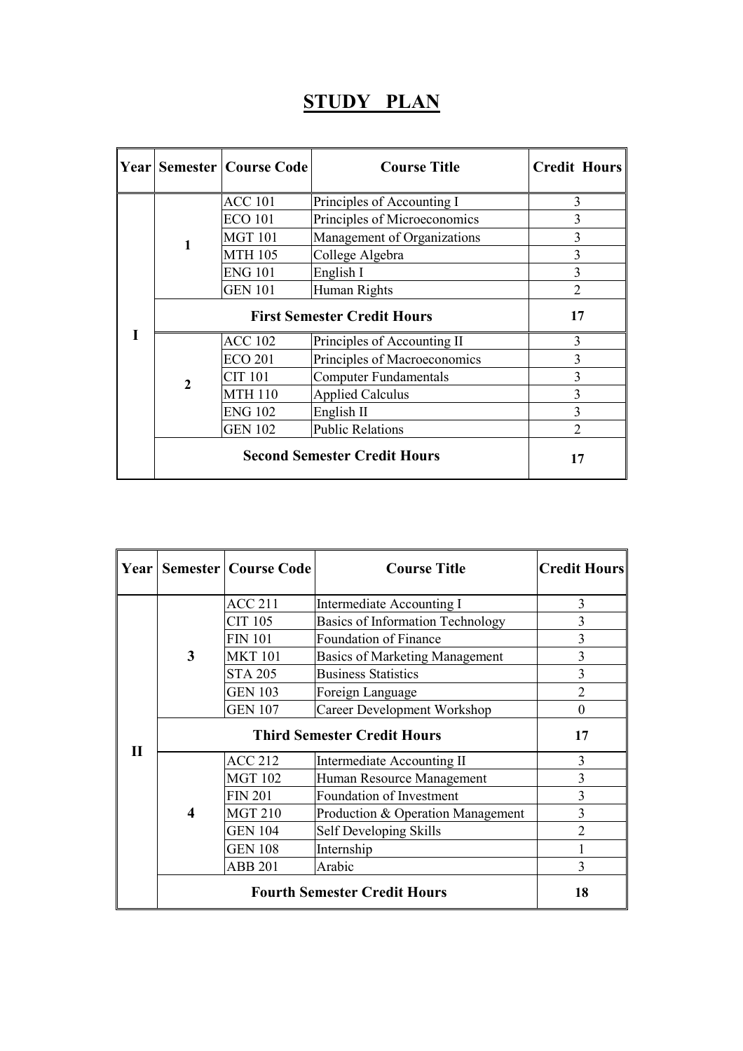## STUDY PLAN

|  |                                     | <b>Year Semester   Course Code</b> | <b>Course Title</b>          | <b>Credit Hours</b> |
|--|-------------------------------------|------------------------------------|------------------------------|---------------------|
|  | 1                                   | <b>ACC 101</b>                     | Principles of Accounting I   | 3                   |
|  |                                     | <b>ECO 101</b>                     | Principles of Microeconomics | 3                   |
|  |                                     | <b>MGT 101</b>                     | Management of Organizations  | 3                   |
|  |                                     | <b>MTH 105</b>                     | College Algebra              | 3                   |
|  |                                     | <b>ENG 101</b>                     | English I                    | 3                   |
|  |                                     | <b>GEN 101</b>                     | Human Rights                 | $\overline{2}$      |
|  |                                     | 17                                 |                              |                     |
|  | $\overline{2}$                      | <b>ACC 102</b>                     | Principles of Accounting II  | 3                   |
|  |                                     | <b>ECO 201</b>                     | Principles of Macroeconomics |                     |
|  |                                     | <b>CIT 101</b>                     | <b>Computer Fundamentals</b> |                     |
|  |                                     | <b>MTH 110</b>                     | <b>Applied Calculus</b>      |                     |
|  |                                     | <b>ENG 102</b>                     | English II                   | 3                   |
|  |                                     | <b>GEN 102</b>                     | <b>Public Relations</b>      | $\mathfrak{D}$      |
|  | <b>Second Semester Credit Hours</b> |                                    |                              | 17                  |

| Year         |   | <b>Semester   Course Code</b> | <b>Course Title</b>                   | <b>Credit Hours</b> |
|--------------|---|-------------------------------|---------------------------------------|---------------------|
|              | 3 | <b>ACC 211</b>                | Intermediate Accounting I             | 3                   |
|              |   | CIT 105                       | Basics of Information Technology      | 3                   |
|              |   | <b>FIN 101</b>                | Foundation of Finance                 | 3                   |
|              |   | <b>MKT 101</b>                | <b>Basics of Marketing Management</b> | 3                   |
|              |   | <b>STA 205</b>                | <b>Business Statistics</b>            | $\overline{3}$      |
|              |   | <b>GEN 103</b>                | Foreign Language                      | $\overline{2}$      |
| $\mathbf{H}$ |   | <b>GEN 107</b>                | <b>Career Development Workshop</b>    | $\Omega$            |
|              |   | 17                            |                                       |                     |
|              | 4 | <b>ACC 212</b>                | Intermediate Accounting II            | 3                   |
|              |   | <b>MGT 102</b>                | Human Resource Management             | 3                   |
|              |   | <b>FIN 201</b>                | Foundation of Investment              | $\overline{3}$      |
|              |   | <b>MGT 210</b>                | Production & Operation Management     | 3                   |
|              |   | <b>GEN 104</b>                | Self Developing Skills                | $\overline{2}$      |
|              |   | <b>GEN 108</b>                | Internship                            |                     |
|              |   | <b>ABB 201</b>                | Arabic                                | 3                   |
|              |   | 18                            |                                       |                     |